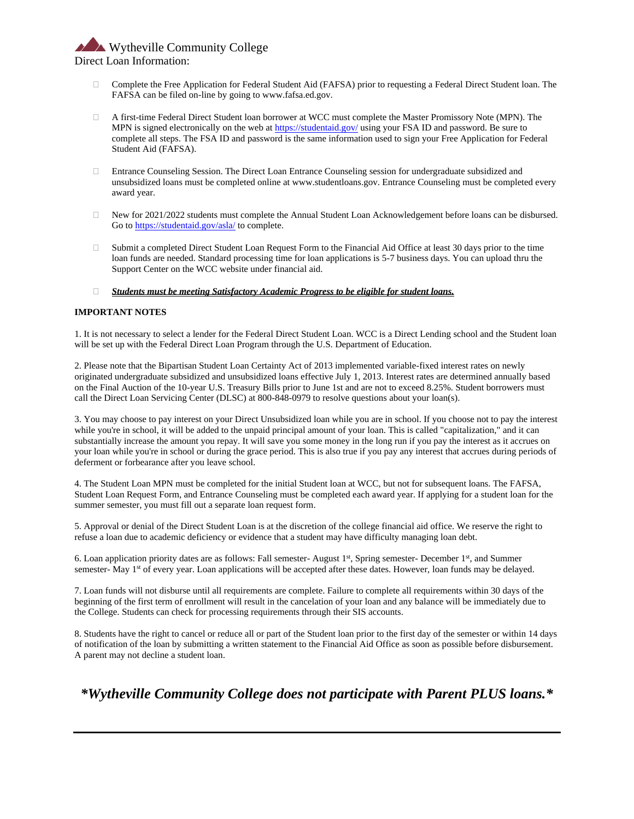Wytheville Community College Direct Loan Information:

- Complete the Free Application for Federal Student Aid (FAFSA) prior to requesting a Federal Direct Student loan. The FAFSA can be filed on-line by going to www.fafsa.ed.gov.
- A first-time Federal Direct Student loan borrower at WCC must complete the Master Promissory Note (MPN). The MPN is signed electronically on the web a[t https://studentaid.gov/](https://studentaid.gov/) using your FSA ID and password. Be sure to complete all steps. The FSA ID and password is the same information used to sign your Free Application for Federal Student Aid (FAFSA).
- Entrance Counseling Session. The Direct Loan Entrance Counseling session for undergraduate subsidized and unsubsidized loans must be completed online at www.studentloans.gov. Entrance Counseling must be completed every award year.
- New for 2021/2022 students must complete the Annual Student Loan Acknowledgement before loans can be disbursed. Go t[o https://studentaid.gov/asla/](https://studentaid.gov/asla/) to complete.
- $\Box$  Submit a completed Direct Student Loan Request Form to the Financial Aid Office at least 30 days prior to the time loan funds are needed. Standard processing time for loan applications is 5-7 business days. You can upload thru the Support Center on the WCC website under financial aid.

## *Students must be meeting Satisfactory Academic Progress to be eligible for student loans.*

## **IMPORTANT NOTES**

1. It is not necessary to select a lender for the Federal Direct Student Loan. WCC is a Direct Lending school and the Student loan will be set up with the Federal Direct Loan Program through the U.S. Department of Education.

2. Please note that the Bipartisan Student Loan Certainty Act of 2013 implemented variable-fixed interest rates on newly originated undergraduate subsidized and unsubsidized loans effective July 1, 2013. Interest rates are determined annually based on the Final Auction of the 10-year U.S. Treasury Bills prior to June 1st and are not to exceed 8.25%. Student borrowers must call the Direct Loan Servicing Center (DLSC) at 800-848-0979 to resolve questions about your loan(s).

3. You may choose to pay interest on your Direct Unsubsidized loan while you are in school. If you choose not to pay the interest while you're in school, it will be added to the unpaid principal amount of your loan. This is called "capitalization," and it can substantially increase the amount you repay. It will save you some money in the long run if you pay the interest as it accrues on your loan while you're in school or during the grace period. This is also true if you pay any interest that accrues during periods of deferment or forbearance after you leave school.

4. The Student Loan MPN must be completed for the initial Student loan at WCC, but not for subsequent loans. The FAFSA, Student Loan Request Form, and Entrance Counseling must be completed each award year. If applying for a student loan for the summer semester, you must fill out a separate loan request form.

5. Approval or denial of the Direct Student Loan is at the discretion of the college financial aid office. We reserve the right to refuse a loan due to academic deficiency or evidence that a student may have difficulty managing loan debt.

6. Loan application priority dates are as follows: Fall semester- August 1st, Spring semester- December 1st, and Summer semester- May 1<sup>st</sup> of every year. Loan applications will be accepted after these dates. However, loan funds may be delayed.

7. Loan funds will not disburse until all requirements are complete. Failure to complete all requirements within 30 days of the beginning of the first term of enrollment will result in the cancelation of your loan and any balance will be immediately due to the College. Students can check for processing requirements through their SIS accounts.

8. Students have the right to cancel or reduce all or part of the Student loan prior to the first day of the semester or within 14 days of notification of the loan by submitting a written statement to the Financial Aid Office as soon as possible before disbursement. A parent may not decline a student loan.

*\*Wytheville Community College does not participate with Parent PLUS loans.\**